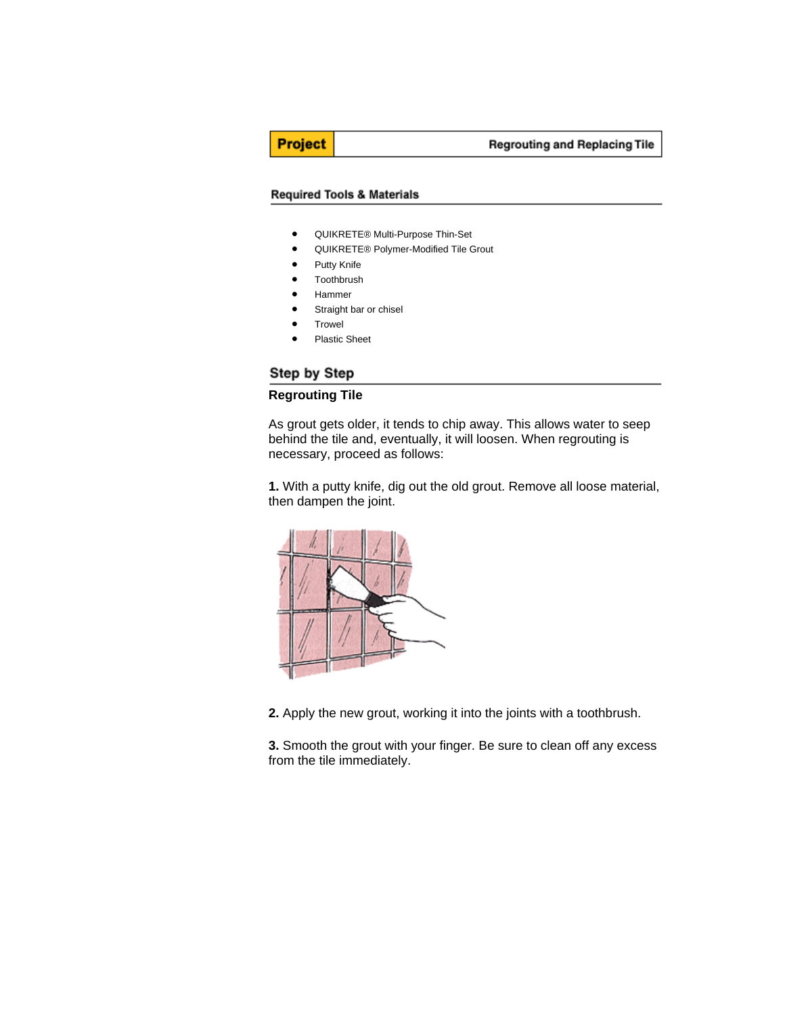**Project** 

#### **Required Tools & Materials**

- QUIKRETE® Multi-Purpose Thin-Set
- QUIKRETE® Polymer-Modified Tile Grout
- Putty Knife
- Toothbrush
- Hammer
- Straight bar or chisel
- **Trowel**
- Plastic Sheet

# Step by Step

### **Regrouting Tile**

As grout gets older, it tends to chip away. This allows water to seep behind the tile and, eventually, it will loosen. When regrouting is necessary, proceed as follows:

**1.** With a putty knife, dig out the old grout. Remove all loose material, then dampen the joint.



**2.** Apply the new grout, working it into the joints with a toothbrush.

**3.** Smooth the grout with your finger. Be sure to clean off any excess from the tile immediately.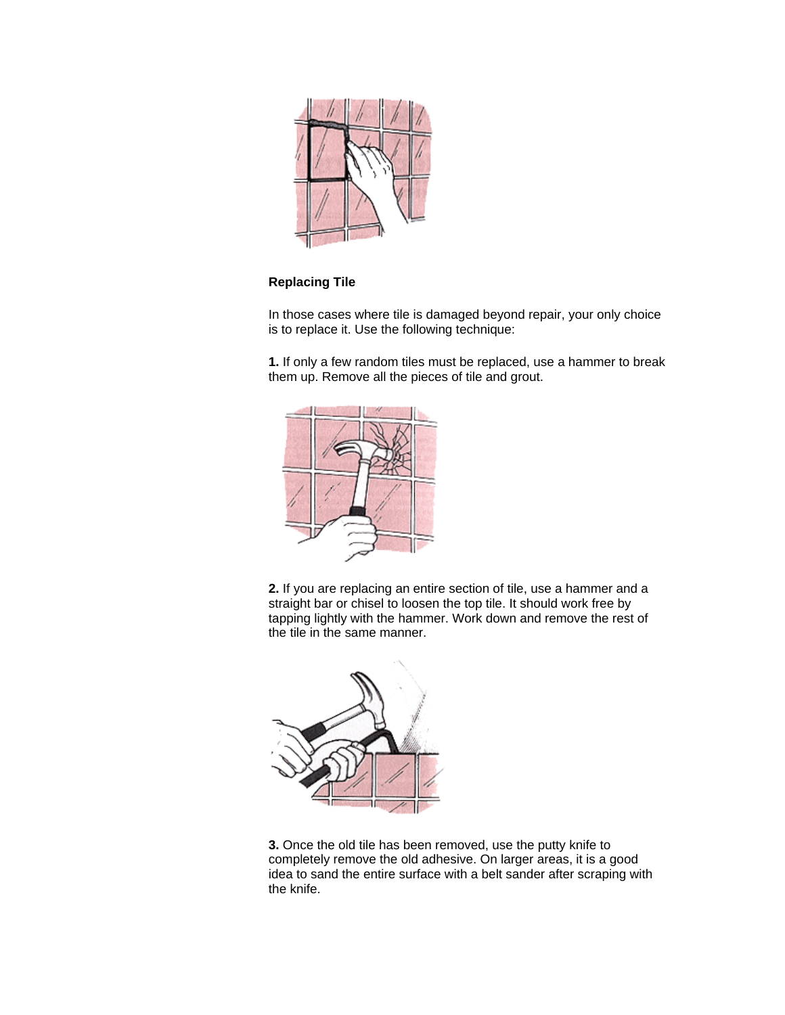

## **Replacing Tile**

In those cases where tile is damaged beyond repair, your only choice is to replace it. Use the following technique:

**1.** If only a few random tiles must be replaced, use a hammer to break them up. Remove all the pieces of tile and grout.



**2.** If you are replacing an entire section of tile, use a hammer and a straight bar or chisel to loosen the top tile. It should work free by tapping lightly with the hammer. Work down and remove the rest of the tile in the same manner.



**3.** Once the old tile has been removed, use the putty knife to completely remove the old adhesive. On larger areas, it is a good idea to sand the entire surface with a belt sander after scraping with the knife.